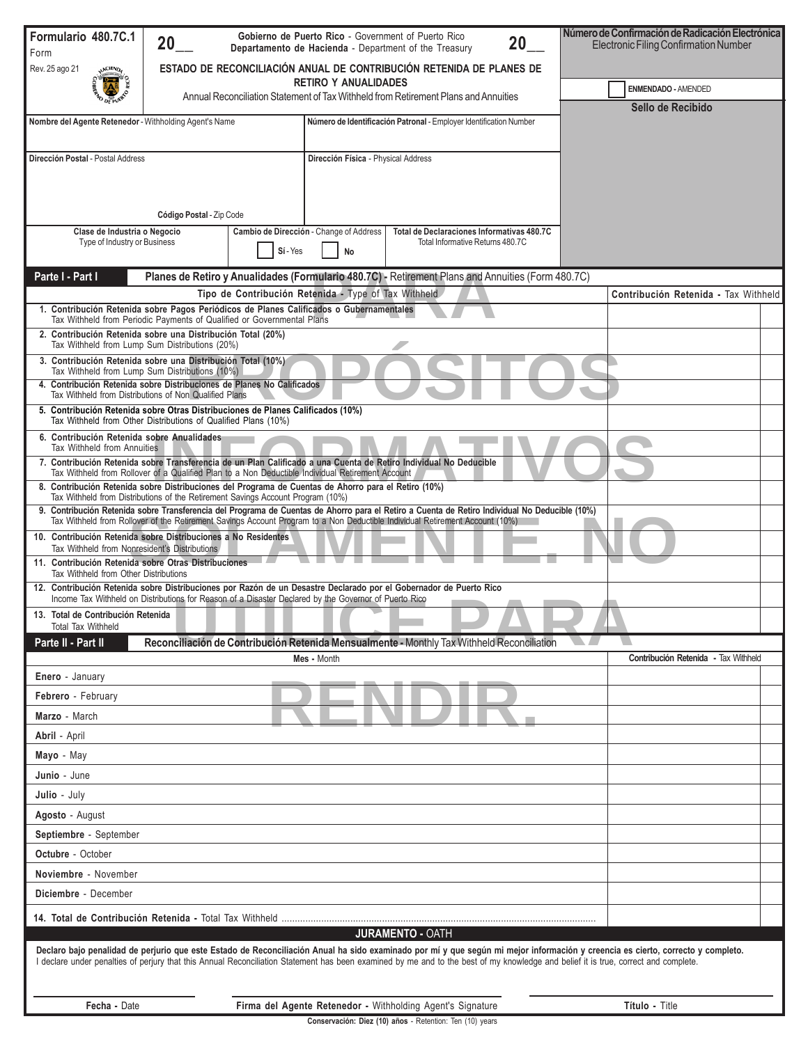| Formulario 480.7C.1                                                                                                                                                                                                                                                            | Gobierno de Puerto Rico - Government of Puerto Rico<br>20<br>20<br>Departamento de Hacienda - Department of the Treasury                                                                   |          |                                                                                                                           |                                                                                                   |  |                            | Número de Confirmación de Radicación Electrónica<br>Electronic Filing Confirmation Number                                                                                       |  |  |
|--------------------------------------------------------------------------------------------------------------------------------------------------------------------------------------------------------------------------------------------------------------------------------|--------------------------------------------------------------------------------------------------------------------------------------------------------------------------------------------|----------|---------------------------------------------------------------------------------------------------------------------------|---------------------------------------------------------------------------------------------------|--|----------------------------|---------------------------------------------------------------------------------------------------------------------------------------------------------------------------------|--|--|
| Form<br>Rev. 25 ago 21                                                                                                                                                                                                                                                         | ESTADO DE RECONCILIACIÓN ANUAL DE CONTRIBUCIÓN RETENIDA DE PLANES DE<br><b>RETIRO Y ANUALIDADES</b><br>Annual Reconciliation Statement of Tax Withheld from Retirement Plans and Annuities |          |                                                                                                                           |                                                                                                   |  |                            |                                                                                                                                                                                 |  |  |
|                                                                                                                                                                                                                                                                                |                                                                                                                                                                                            |          |                                                                                                                           |                                                                                                   |  | <b>ENMENDADO - AMENDED</b> |                                                                                                                                                                                 |  |  |
|                                                                                                                                                                                                                                                                                |                                                                                                                                                                                            |          |                                                                                                                           |                                                                                                   |  | Sello de Recibido          |                                                                                                                                                                                 |  |  |
| Nombre del Agente Retenedor - Withholding Agent's Name<br>Número de Identificación Patronal - Employer Identification Number                                                                                                                                                   |                                                                                                                                                                                            |          |                                                                                                                           |                                                                                                   |  |                            |                                                                                                                                                                                 |  |  |
| Dirección Postal - Postal Address                                                                                                                                                                                                                                              |                                                                                                                                                                                            |          | Dirección Física - Physical Address                                                                                       |                                                                                                   |  |                            |                                                                                                                                                                                 |  |  |
|                                                                                                                                                                                                                                                                                |                                                                                                                                                                                            |          |                                                                                                                           |                                                                                                   |  |                            |                                                                                                                                                                                 |  |  |
|                                                                                                                                                                                                                                                                                |                                                                                                                                                                                            |          |                                                                                                                           |                                                                                                   |  |                            |                                                                                                                                                                                 |  |  |
|                                                                                                                                                                                                                                                                                | Código Postal - Zip Code                                                                                                                                                                   |          |                                                                                                                           |                                                                                                   |  |                            |                                                                                                                                                                                 |  |  |
| Clase de Industria o Negocio<br>Type of Industry or Business                                                                                                                                                                                                                   |                                                                                                                                                                                            |          | Total de Declaraciones Informativas 480.7C<br>Cambio de Dirección - Change of Address<br>Total Informative Returns 480.7C |                                                                                                   |  |                            |                                                                                                                                                                                 |  |  |
|                                                                                                                                                                                                                                                                                |                                                                                                                                                                                            | Sí - Yes | No                                                                                                                        |                                                                                                   |  |                            |                                                                                                                                                                                 |  |  |
| Parte I - Part I                                                                                                                                                                                                                                                               |                                                                                                                                                                                            |          |                                                                                                                           | Planes de Retiro y Anualidades (Formulario 480.7C) - Retirement Plans and Annuities (Form 480.7C) |  |                            |                                                                                                                                                                                 |  |  |
|                                                                                                                                                                                                                                                                                |                                                                                                                                                                                            |          | Tipo de Contribución Retenida - Type of Tax Withheld                                                                      |                                                                                                   |  |                            | Contribución Retenida - Tax Withheld                                                                                                                                            |  |  |
| 1. Contribución Retenida sobre Pagos Periódicos de Planes Calificados o Gubernamentales<br>Tax Withheld from Periodic Payments of Qualified or Governmental Plans                                                                                                              |                                                                                                                                                                                            |          |                                                                                                                           |                                                                                                   |  |                            |                                                                                                                                                                                 |  |  |
| 2. Contribución Retenida sobre una Distribución Total (20%)<br>Tax Withheld from Lump Sum Distributions (20%)                                                                                                                                                                  |                                                                                                                                                                                            |          |                                                                                                                           |                                                                                                   |  |                            |                                                                                                                                                                                 |  |  |
| 3. Contribución Retenida sobre una Distribución Total (10%)<br>Tax Withheld from Lump Sum Distributions (10%)                                                                                                                                                                  |                                                                                                                                                                                            |          |                                                                                                                           |                                                                                                   |  |                            |                                                                                                                                                                                 |  |  |
| 4. Contribución Retenida sobre Distribuciones de Planes No Calificados                                                                                                                                                                                                         |                                                                                                                                                                                            |          |                                                                                                                           |                                                                                                   |  |                            |                                                                                                                                                                                 |  |  |
| Tax Withheld from Distributions of Non Qualified Plans<br>5. Contribución Retenida sobre Otras Distribuciones de Planes Calificados (10%)                                                                                                                                      |                                                                                                                                                                                            |          |                                                                                                                           |                                                                                                   |  |                            |                                                                                                                                                                                 |  |  |
| Tax Withheld from Other Distributions of Qualified Plans (10%)                                                                                                                                                                                                                 |                                                                                                                                                                                            |          |                                                                                                                           |                                                                                                   |  |                            |                                                                                                                                                                                 |  |  |
| 6. Contribución Retenida sobre Anualidades<br>Tax Withheld from Annuities                                                                                                                                                                                                      |                                                                                                                                                                                            |          |                                                                                                                           |                                                                                                   |  |                            |                                                                                                                                                                                 |  |  |
| 7. Contribución Retenida sobre Transferencia de un Plan Calificado a una Cuenta de Retiro Individual No Deducible<br>Tax Withheld from Rollover of a Qualified Plan to a Non Deductible Individual Retirement Account                                                          |                                                                                                                                                                                            |          |                                                                                                                           |                                                                                                   |  |                            |                                                                                                                                                                                 |  |  |
| 8. Contribución Retenida sobre Distribuciones del Programa de Cuentas de Ahorro para el Retiro (10%)<br>Tax Withheld from Distributions of the Retirement Savings Account Program (10%)                                                                                        |                                                                                                                                                                                            |          |                                                                                                                           |                                                                                                   |  |                            |                                                                                                                                                                                 |  |  |
| 9. Contribución Retenida sobre Transferencia del Programa de Cuentas de Ahorro para el Retiro a Cuenta de Retiro Individual No Deducible (10%)<br>Tax Withheld from Rollover of the Retirement Savings Account Program to a Non Deductible Individual Retirement Account (10%) |                                                                                                                                                                                            |          |                                                                                                                           |                                                                                                   |  |                            |                                                                                                                                                                                 |  |  |
| 10. Contribución Retenida sobre Distribuciones a No Residentes                                                                                                                                                                                                                 |                                                                                                                                                                                            |          |                                                                                                                           |                                                                                                   |  |                            |                                                                                                                                                                                 |  |  |
| Tax Withheld from Nonresident's Distributions<br>11. Contribución Retenida sobre Otras Distribuciones                                                                                                                                                                          |                                                                                                                                                                                            |          |                                                                                                                           |                                                                                                   |  |                            |                                                                                                                                                                                 |  |  |
| Tax Withheld from Other Distributions<br>12. Contribución Retenida sobre Distribuciones por Razón de un Desastre Declarado por el Gobernador de Puerto Rico                                                                                                                    |                                                                                                                                                                                            |          |                                                                                                                           |                                                                                                   |  |                            |                                                                                                                                                                                 |  |  |
| Income Tax Withheld on Distributions for Reason of a Disaster Declared by the Governor of Puerto Rico                                                                                                                                                                          |                                                                                                                                                                                            |          |                                                                                                                           |                                                                                                   |  |                            |                                                                                                                                                                                 |  |  |
| 13. Total de Contribución Retenida<br><b>Total Tax Withheld</b>                                                                                                                                                                                                                |                                                                                                                                                                                            |          |                                                                                                                           |                                                                                                   |  |                            |                                                                                                                                                                                 |  |  |
| Parte II - Part II<br>Reconciliación de Contribución Retenida Mensualmente - Monthly Tax Withheld Reconciliation                                                                                                                                                               |                                                                                                                                                                                            |          |                                                                                                                           |                                                                                                   |  |                            |                                                                                                                                                                                 |  |  |
| Enero - January                                                                                                                                                                                                                                                                |                                                                                                                                                                                            |          | Mes - Month                                                                                                               |                                                                                                   |  |                            | Contribución Retenida - Tax Withheld                                                                                                                                            |  |  |
| Febrero - February                                                                                                                                                                                                                                                             |                                                                                                                                                                                            |          |                                                                                                                           |                                                                                                   |  |                            |                                                                                                                                                                                 |  |  |
| Marzo - March                                                                                                                                                                                                                                                                  |                                                                                                                                                                                            |          |                                                                                                                           |                                                                                                   |  |                            |                                                                                                                                                                                 |  |  |
| Abril - April                                                                                                                                                                                                                                                                  |                                                                                                                                                                                            |          |                                                                                                                           |                                                                                                   |  |                            |                                                                                                                                                                                 |  |  |
| Mayo - May                                                                                                                                                                                                                                                                     |                                                                                                                                                                                            |          |                                                                                                                           |                                                                                                   |  |                            |                                                                                                                                                                                 |  |  |
| Junio - June                                                                                                                                                                                                                                                                   |                                                                                                                                                                                            |          |                                                                                                                           |                                                                                                   |  |                            |                                                                                                                                                                                 |  |  |
| Julio - July                                                                                                                                                                                                                                                                   |                                                                                                                                                                                            |          |                                                                                                                           |                                                                                                   |  |                            |                                                                                                                                                                                 |  |  |
| Agosto - August                                                                                                                                                                                                                                                                |                                                                                                                                                                                            |          |                                                                                                                           |                                                                                                   |  |                            |                                                                                                                                                                                 |  |  |
| Septiembre - September                                                                                                                                                                                                                                                         |                                                                                                                                                                                            |          |                                                                                                                           |                                                                                                   |  |                            |                                                                                                                                                                                 |  |  |
| <b>Octubre</b> - October                                                                                                                                                                                                                                                       |                                                                                                                                                                                            |          |                                                                                                                           |                                                                                                   |  |                            |                                                                                                                                                                                 |  |  |
| Noviembre - November                                                                                                                                                                                                                                                           |                                                                                                                                                                                            |          |                                                                                                                           |                                                                                                   |  |                            |                                                                                                                                                                                 |  |  |
| Diciembre - December                                                                                                                                                                                                                                                           |                                                                                                                                                                                            |          |                                                                                                                           |                                                                                                   |  |                            |                                                                                                                                                                                 |  |  |
|                                                                                                                                                                                                                                                                                |                                                                                                                                                                                            |          |                                                                                                                           |                                                                                                   |  |                            |                                                                                                                                                                                 |  |  |
|                                                                                                                                                                                                                                                                                |                                                                                                                                                                                            |          |                                                                                                                           | <b>JURAMENTO - OATH</b>                                                                           |  |                            |                                                                                                                                                                                 |  |  |
| I declare under penalties of perjury that this Annual Reconciliation Statement has been examined by me and to the best of my knowledge and belief it is true, correct and complete.                                                                                            |                                                                                                                                                                                            |          |                                                                                                                           |                                                                                                   |  |                            | Declaro bajo penalidad de perjurio que este Estado de Reconciliación Anual ha sido examinado por mí y que según mi mejor información y creencia es cierto, correcto y completo. |  |  |
| Fecha - Date                                                                                                                                                                                                                                                                   |                                                                                                                                                                                            |          |                                                                                                                           | Firma del Agente Retenedor - Withholding Agent's Signature                                        |  |                            | Título - Title                                                                                                                                                                  |  |  |